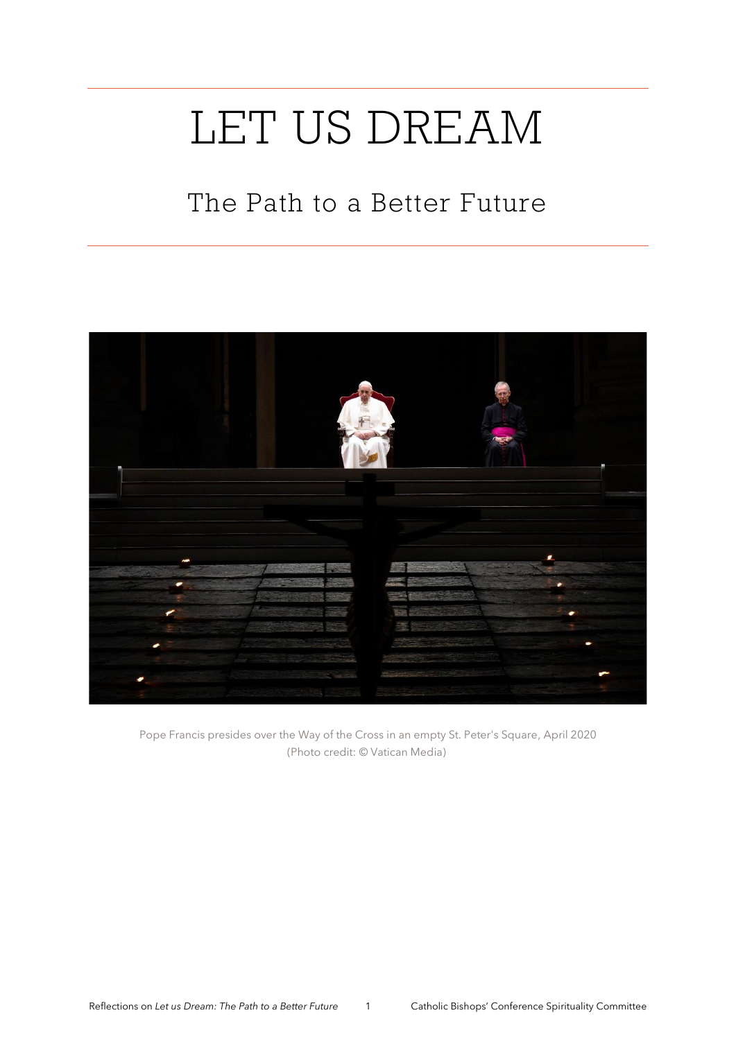# LET US DREAM

# The Path to a Better Future



Pope Francis presides over the Way of the Cross in an empty St. Peter's Square, April 2020 (Photo credit: © Vatican Media)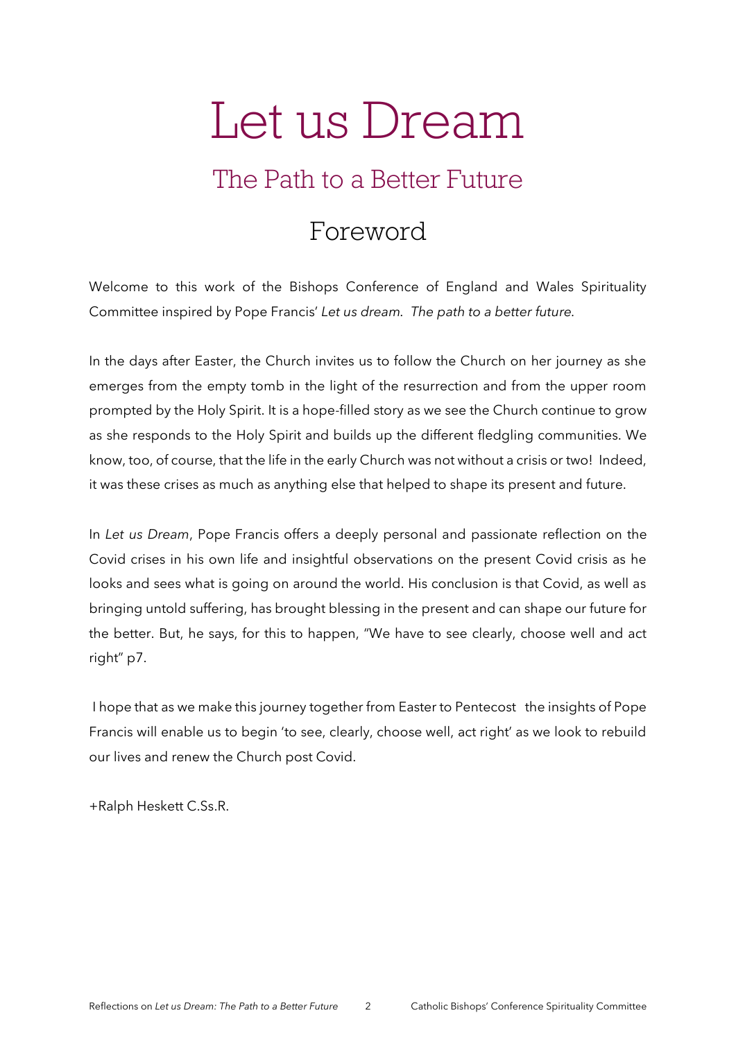# Let us Dream

# The Path to a Better Future

# Foreword

Welcome to this work of the Bishops Conference of England and Wales Spirituality Committee inspired by Pope Francis' *Let us dream. The path to a better future.*

In the days after Easter, the Church invites us to follow the Church on her journey as she emerges from the empty tomb in the light of the resurrection and from the upper room prompted by the Holy Spirit. It is a hope-filled story as we see the Church continue to grow as she responds to the Holy Spirit and builds up the different fledgling communities. We know, too, of course, that the life in the early Church was not without a crisis or two! Indeed, it was these crises as much as anything else that helped to shape its present and future.

In *Let us Dream*, Pope Francis offers a deeply personal and passionate reflection on the Covid crises in his own life and insightful observations on the present Covid crisis as he looks and sees what is going on around the world. His conclusion is that Covid, as well as bringing untold suffering, has brought blessing in the present and can shape our future for the better. But, he says, for this to happen, "We have to see clearly, choose well and act right" p7.

I hope that as we make this journey together from Easter to Pentecost the insights of Pope Francis will enable us to begin 'to see, clearly, choose well, act right' as we look to rebuild our lives and renew the Church post Covid.

+Ralph Heskett C.Ss.R.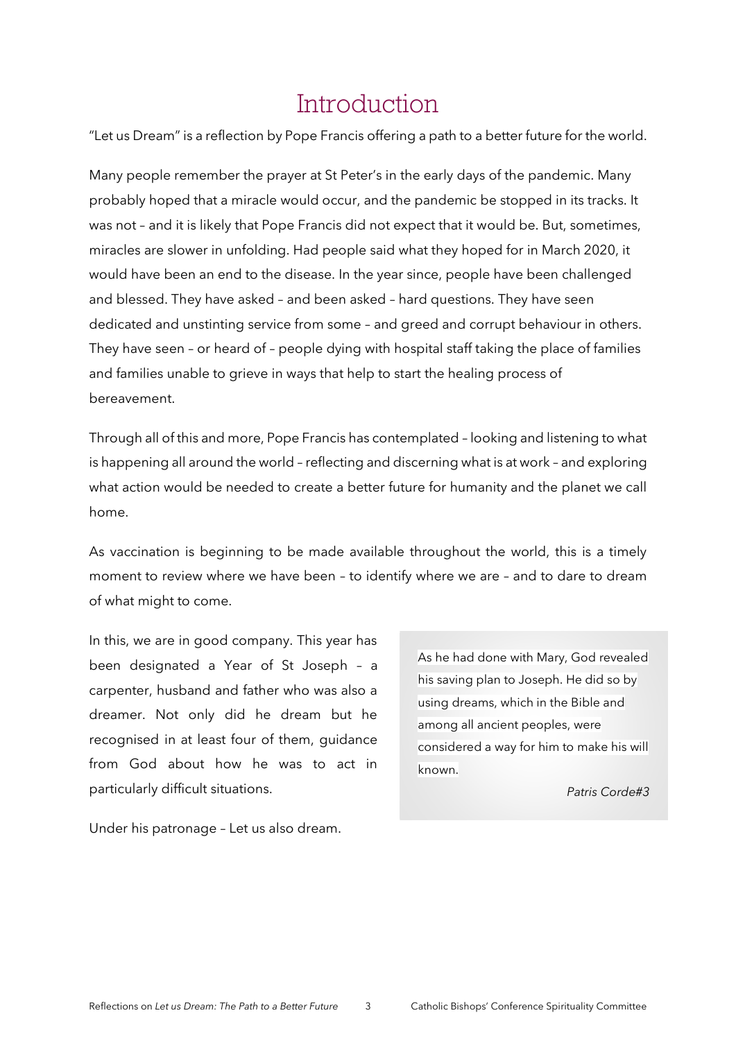# Introduction

"Let us Dream" is a reflection by Pope Francis offering a path to a better future for the world.

Many people remember the prayer at St Peter's in the early days of the pandemic. Many probably hoped that a miracle would occur, and the pandemic be stopped in its tracks. It was not – and it is likely that Pope Francis did not expect that it would be. But, sometimes, miracles are slower in unfolding. Had people said what they hoped for in March 2020, it would have been an end to the disease. In the year since, people have been challenged and blessed. They have asked – and been asked – hard questions. They have seen dedicated and unstinting service from some – and greed and corrupt behaviour in others. They have seen – or heard of – people dying with hospital staff taking the place of families and families unable to grieve in ways that help to start the healing process of bereavement.

Through all of this and more, Pope Francis has contemplated – looking and listening to what is happening all around the world – reflecting and discerning what is at work – and exploring what action would be needed to create a better future for humanity and the planet we call home.

As vaccination is beginning to be made available throughout the world, this is a timely moment to review where we have been – to identify where we are – and to dare to dream of what might to come.

In this, we are in good company. This year has been designated a Year of St Joseph – a carpenter, husband and father who was also a dreamer. Not only did he dream but he recognised in at least four of them, guidance from God about how he was to act in particularly difficult situations.

As he had done with Mary, God revealed his saving plan to Joseph. He did so by using dreams, which in the Bible and among all ancient peoples, were considered a way for him to make his will known.

*Patris Corde#3*

Under his patronage – Let us also dream.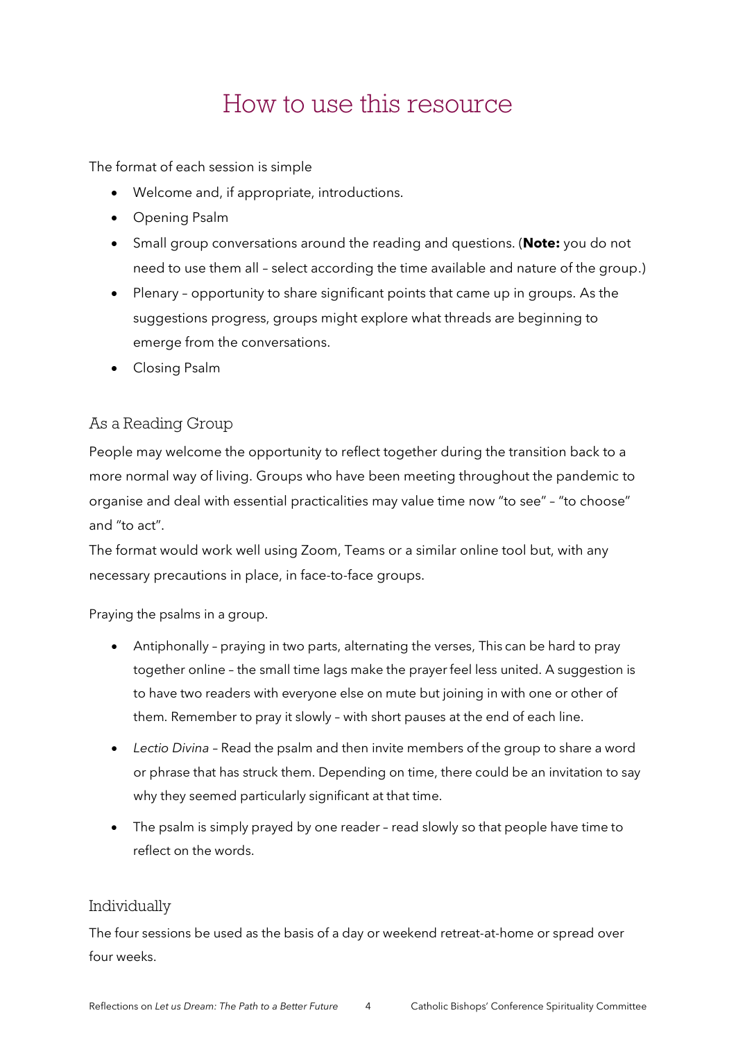# How to use this resource

The format of each session is simple

- Welcome and, if appropriate, introductions.
- Opening Psalm
- Small group conversations around the reading and questions. (**Note:** you do not need to use them all – select according the time available and nature of the group.)
- Plenary opportunity to share significant points that came up in groups. As the suggestions progress, groups might explore what threads are beginning to emerge from the conversations.
- Closing Psalm

#### As a Reading Group

People may welcome the opportunity to reflect together during the transition back to a more normal way of living. Groups who have been meeting throughout the pandemic to organise and deal with essential practicalities may value time now "to see" – "to choose" and "to act".

The format would work well using Zoom, Teams or a similar online tool but, with any necessary precautions in place, in face-to-face groups.

Praying the psalms in a group.

- Antiphonally praying in two parts, alternating the verses, This can be hard to pray together online – the small time lags make the prayer feel less united. A suggestion is to have two readers with everyone else on mute but joining in with one or other of them. Remember to pray it slowly – with short pauses at the end of each line.
- *Lectio Divina* Read the psalm and then invite members of the group to share a word or phrase that has struck them. Depending on time, there could be an invitation to say why they seemed particularly significant at that time.
- The psalm is simply prayed by one reader read slowly so that people have time to reflect on the words.

#### Individually

The four sessions be used as the basis of a day or weekend retreat-at-home or spread over four weeks.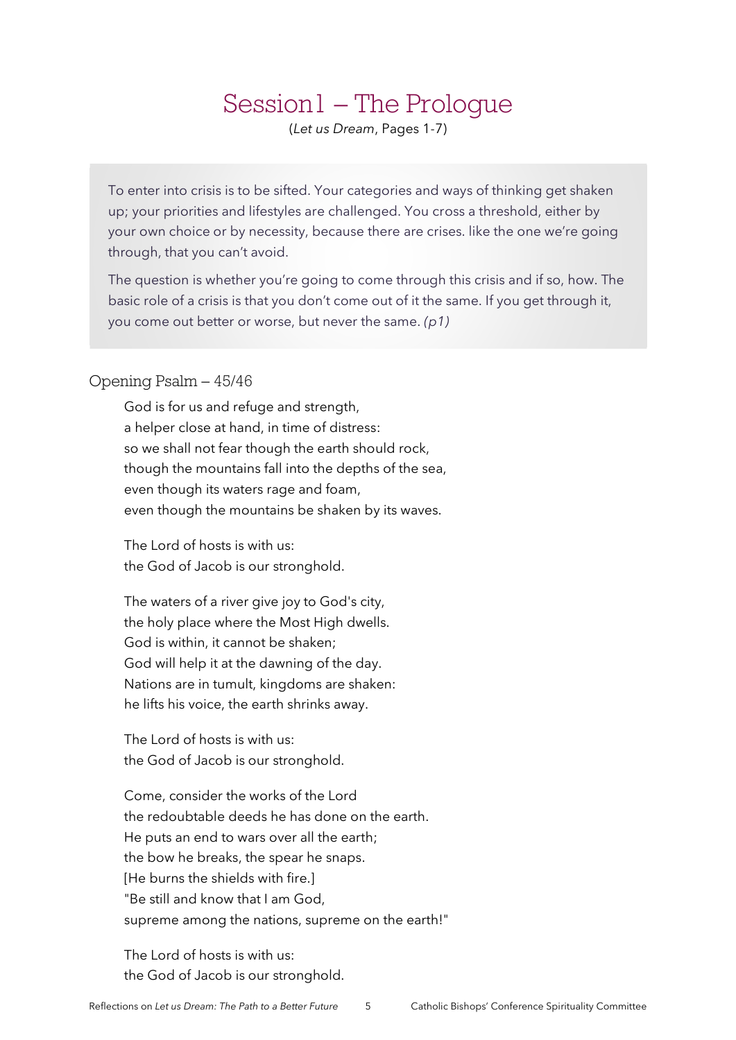# Session1 – The Prologue

(*Let us Dream*, Pages 1-7)

To enter into crisis is to be sifted. Your categories and ways of thinking get shaken up; your priorities and lifestyles are challenged. You cross a threshold, either by your own choice or by necessity, because there are crises. like the one we're going through, that you can't avoid.

The question is whether you're going to come through this crisis and if so, how. The basic role of a crisis is that you don't come out of it the same. If you get through it, you come out better or worse, but never the same. *(p1)*

#### Opening Psalm – 45/46

God is for us and refuge and strength, a helper close at hand, in time of distress: so we shall not fear though the earth should rock, though the mountains fall into the depths of the sea, even though its waters rage and foam, even though the mountains be shaken by its waves.

The Lord of hosts is with us: the God of Jacob is our stronghold.

The waters of a river give joy to God's city, the holy place where the Most High dwells. God is within, it cannot be shaken; God will help it at the dawning of the day. Nations are in tumult, kingdoms are shaken: he lifts his voice, the earth shrinks away.

The Lord of hosts is with us: the God of Jacob is our stronghold.

Come, consider the works of the Lord the redoubtable deeds he has done on the earth. He puts an end to wars over all the earth; the bow he breaks, the spear he snaps. [He burns the shields with fire.] "Be still and know that I am God, supreme among the nations, supreme on the earth!"

The Lord of hosts is with us: the God of Jacob is our stronghold.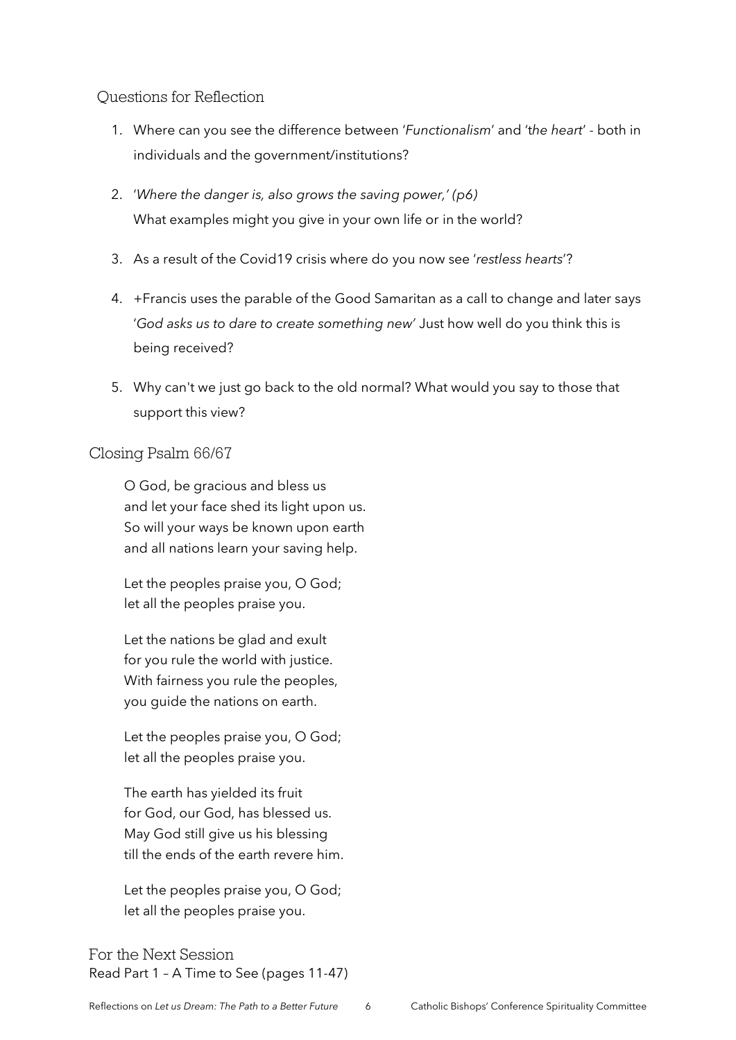#### Questions for Reflection

- 1. Where can you see the difference between '*Functionalism*' and 't*he heart*' both in individuals and the government/institutions?
- 2. '*Where the danger is, also grows the saving power,' (p6)* What examples might you give in your own life or in the world?
- 3. As a result of the Covid19 crisis where do you now see '*restless hearts*'?
- 4. +Francis uses the parable of the Good Samaritan as a call to change and later says '*God asks us to dare to create something new'* Just how well do you think this is being received?
- 5. Why can't we just go back to the old normal? What would you say to those that support this view?

#### Closing Psalm 66/67

O God, be gracious and bless us and let your face shed its light upon us. So will your ways be known upon earth and all nations learn your saving help.

Let the peoples praise you, O God; let all the peoples praise you.

Let the nations be glad and exult for you rule the world with justice. With fairness you rule the peoples, you guide the nations on earth.

Let the peoples praise you, O God; let all the peoples praise you.

The earth has yielded its fruit for God, our God, has blessed us. May God still give us his blessing till the ends of the earth revere him.

Let the peoples praise you, O God; let all the peoples praise you.

For the Next Session Read Part 1 – A Time to See (pages 11-47)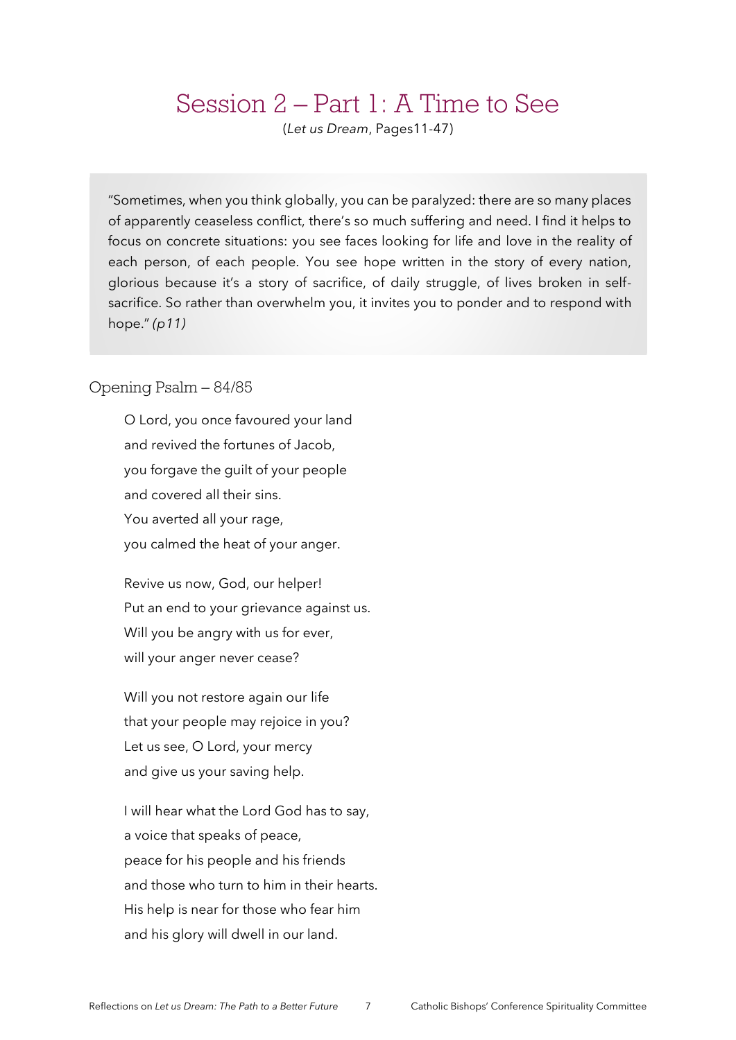# Session 2 – Part 1: A Time to See

(*Let us Dream*, Pages11-47)

"Sometimes, when you think globally, you can be paralyzed: there are so many places of apparently ceaseless conflict, there's so much suffering and need. I find it helps to focus on concrete situations: you see faces looking for life and love in the reality of each person, of each people. You see hope written in the story of every nation, glorious because it's a story of sacrifice, of daily struggle, of lives broken in selfsacrifice. So rather than overwhelm you, it invites you to ponder and to respond with hope." *(p11)*

#### Opening Psalm – 84/85

O Lord, you once favoured your land and revived the fortunes of Jacob, you forgave the guilt of your people and covered all their sins. You averted all your rage, you calmed the heat of your anger.

Revive us now, God, our helper! Put an end to your grievance against us. Will you be angry with us for ever, will your anger never cease?

Will you not restore again our life that your people may rejoice in you? Let us see, O Lord, your mercy and give us your saving help.

I will hear what the Lord God has to say, a voice that speaks of peace, peace for his people and his friends and those who turn to him in their hearts. His help is near for those who fear him and his glory will dwell in our land.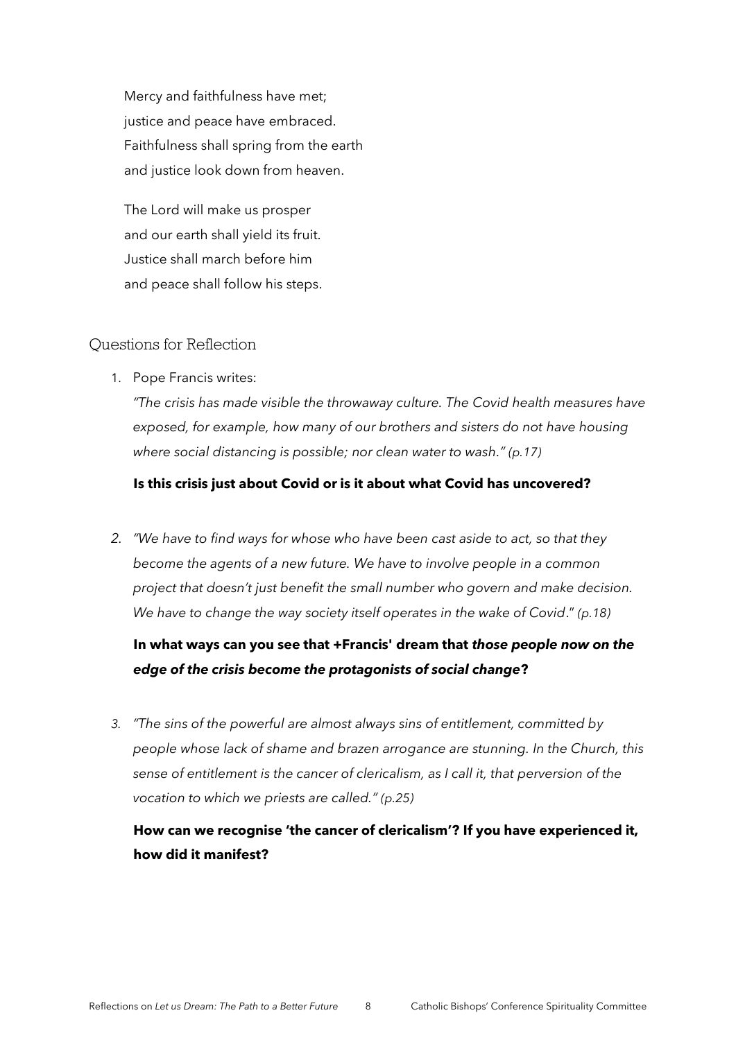Mercy and faithfulness have met; justice and peace have embraced. Faithfulness shall spring from the earth and justice look down from heaven.

The Lord will make us prosper and our earth shall yield its fruit. Justice shall march before him and peace shall follow his steps.

#### Questions for Reflection

1. Pope Francis writes:

*"The crisis has made visible the throwaway culture. The Covid health measures have exposed, for example, how many of our brothers and sisters do not have housing where social distancing is possible; nor clean water to wash." (p.17)*

#### **Is this crisis just about Covid or is it about what Covid has uncovered?**

*2. "We have to find ways for whose who have been cast aside to act, so that they become the agents of a new future. We have to involve people in a common project that doesn't just benefit the small number who govern and make decision. We have to change the way society itself operates in the wake of Covid*." *(p.18)*

### **In what ways can you see that +Francis' dream that** *those people now on the edge of the crisis become the protagonists of social change***?**

*3. "The sins of the powerful are almost always sins of entitlement, committed by people whose lack of shame and brazen arrogance are stunning. In the Church, this sense of entitlement is the cancer of clericalism, as I call it, that perversion of the vocation to which we priests are called." (p.25)*

**How can we recognise 'the cancer of clericalism'? If you have experienced it, how did it manifest?**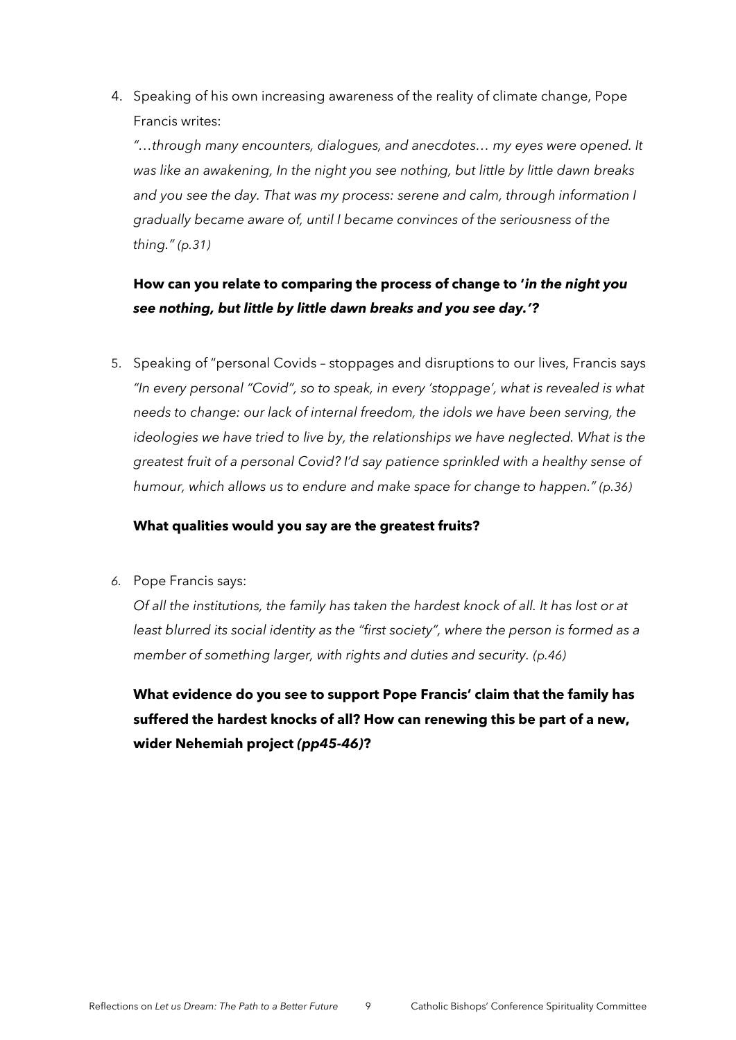4. Speaking of his own increasing awareness of the reality of climate change, Pope Francis writes:

*"…through many encounters, dialogues, and anecdotes… my eyes were opened. It was like an awakening, In the night you see nothing, but little by little dawn breaks and you see the day. That was my process: serene and calm, through information I gradually became aware of, until I became convinces of the seriousness of the thing." (p.31)*

### **How can you relate to comparing the process of change to '***in the night you see nothing, but little by little dawn breaks and you see day.'?*

5. Speaking of "personal Covids – stoppages and disruptions to our lives, Francis says *"In every personal "Covid", so to speak, in every 'stoppage', what is revealed is what needs to change: our lack of internal freedom, the idols we have been serving, the ideologies we have tried to live by, the relationships we have neglected. What is the greatest fruit of a personal Covid? I'd say patience sprinkled with a healthy sense of humour, which allows us to endure and make space for change to happen." (p.36)*

#### **What qualities would you say are the greatest fruits?**

*6.* Pope Francis says:

*Of all the institutions, the family has taken the hardest knock of all. It has lost or at least blurred its social identity as the "first society", where the person is formed as a member of something larger, with rights and duties and security. (p.46)* 

**What evidence do you see to support Pope Francis' claim that the family has suffered the hardest knocks of all? How can renewing this be part of a new, wider Nehemiah project** *(pp45-46)***?**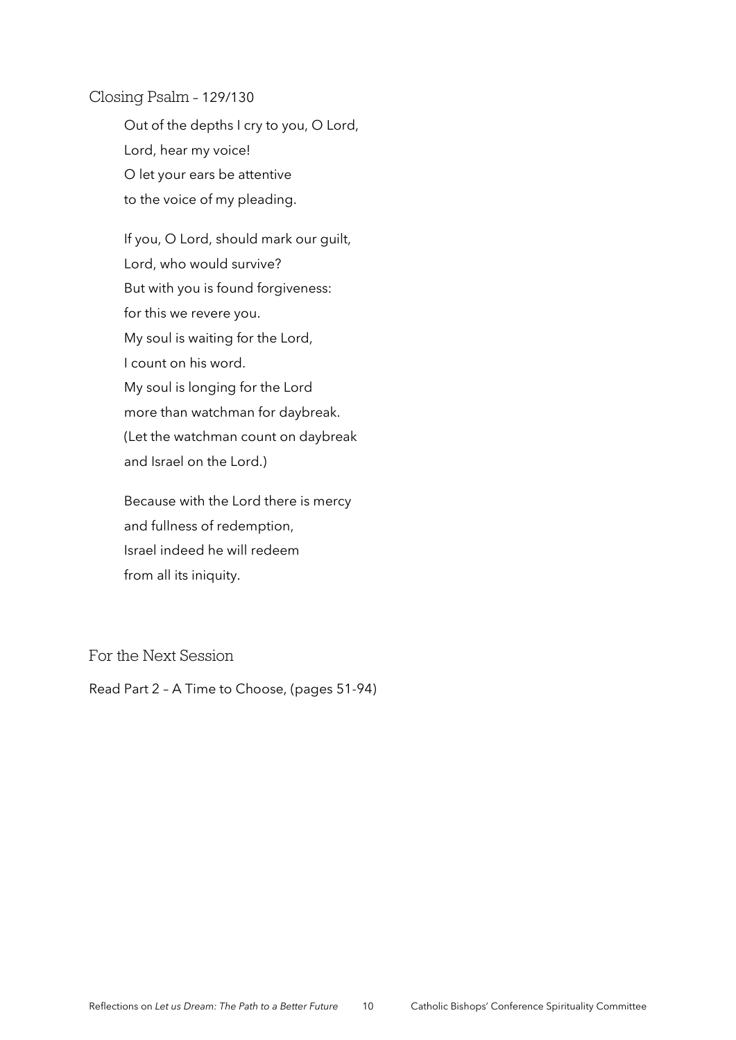#### Closing Psalm – 129/130

Out of the depths I cry to you, O Lord, Lord, hear my voice! O let your ears be attentive to the voice of my pleading.

If you, O Lord, should mark our guilt, Lord, who would survive? But with you is found forgiveness: for this we revere you. My soul is waiting for the Lord, I count on his word. My soul is longing for the Lord more than watchman for daybreak. (Let the watchman count on daybreak and Israel on the Lord.)

Because with the Lord there is mercy and fullness of redemption, Israel indeed he will redeem from all its iniquity.

For the Next Session

Read Part 2 – A Time to Choose, (pages 51-94)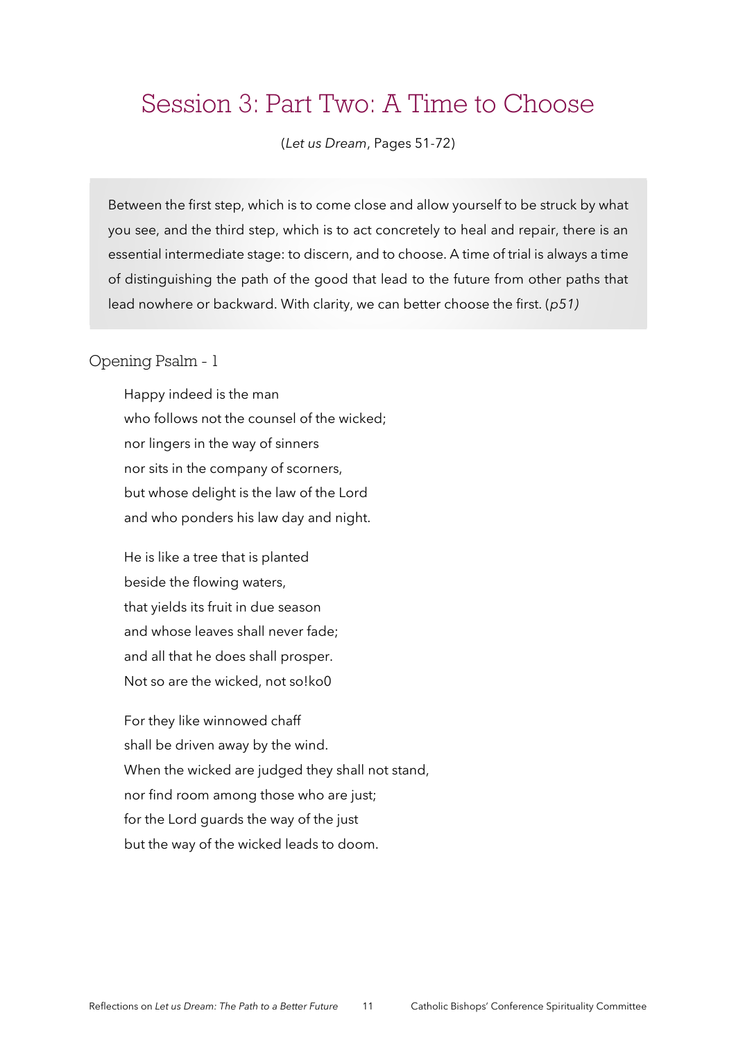# Session 3: Part Two: A Time to Choose

(*Let us Dream*, Pages 51-72)

Between the first step, which is to come close and allow yourself to be struck by what you see, and the third step, which is to act concretely to heal and repair, there is an essential intermediate stage: to discern, and to choose. A time of trial is always a time of distinguishing the path of the good that lead to the future from other paths that lead nowhere or backward. With clarity, we can better choose the first. (*p51)*

#### Opening Psalm - 1

Happy indeed is the man who follows not the counsel of the wicked; nor lingers in the way of sinners nor sits in the company of scorners, but whose delight is the law of the Lord and who ponders his law day and night.

He is like a tree that is planted beside the flowing waters, that yields its fruit in due season and whose leaves shall never fade; and all that he does shall prosper. Not so are the wicked, not so!ko0

For they like winnowed chaff shall be driven away by the wind. When the wicked are judged they shall not stand, nor find room among those who are just; for the Lord guards the way of the just but the way of the wicked leads to doom.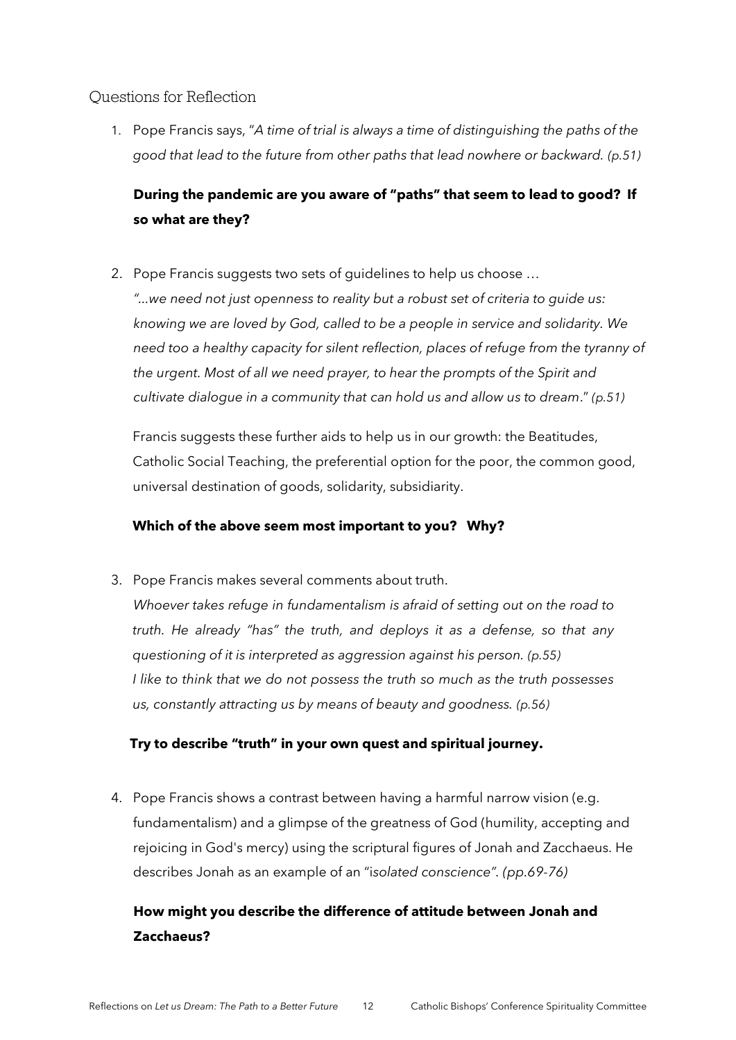#### Questions for Reflection

1. Pope Francis says, "*A time of trial is always a time of distinguishing the paths of the good that lead to the future from other paths that lead nowhere or backward. (p.51)*

### **During the pandemic are you aware of "paths" that seem to lead to good? If so what are they?**

2. Pope Francis suggests two sets of guidelines to help us choose … *"...we need not just openness to reality but a robust set of criteria to guide us: knowing we are loved by God, called to be a people in service and solidarity. We need too a healthy capacity for silent reflection, places of refuge from the tyranny of the urgent. Most of all we need prayer, to hear the prompts of the Spirit and cultivate dialogue in a community that can hold us and allow us to dream*." *(p.51)*

Francis suggests these further aids to help us in our growth: the Beatitudes, Catholic Social Teaching, the preferential option for the poor, the common good, universal destination of goods, solidarity, subsidiarity.

#### **Which of the above seem most important to you? Why?**

3. Pope Francis makes several comments about truth.

*Whoever takes refuge in fundamentalism is afraid of setting out on the road to truth. He already "has" the truth, and deploys it as a defense, so that any questioning of it is interpreted as aggression against his person. (p.55) I like to think that we do not possess the truth so much as the truth possesses us, constantly attracting us by means of beauty and goodness. (p.56)*

#### **Try to describe "truth" in your own quest and spiritual journey.**

4. Pope Francis shows a contrast between having a harmful narrow vision (e.g. fundamentalism) and a glimpse of the greatness of God (humility, accepting and rejoicing in God's mercy) using the scriptural figures of Jonah and Zacchaeus. He describes Jonah as an example of an "i*solated conscience". (pp.69-76)*

### **How might you describe the difference of attitude between Jonah and Zacchaeus?**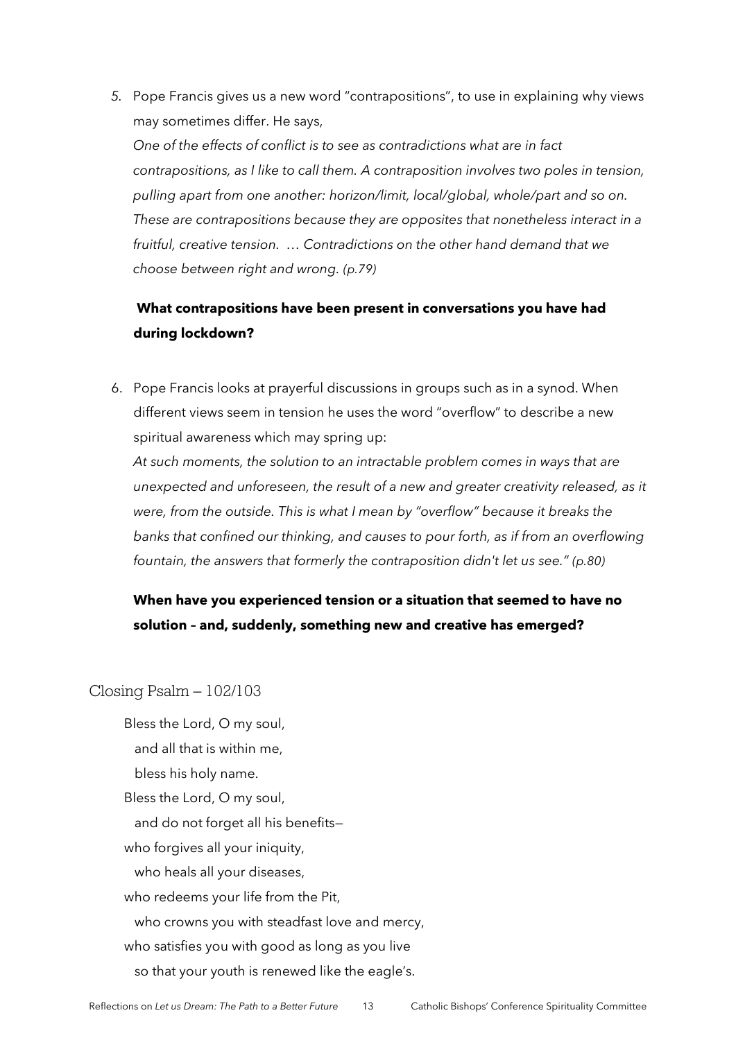*5.* Pope Francis gives us a new word "contrapositions", to use in explaining why views may sometimes differ. He says,

*One of the effects of conflict is to see as contradictions what are in fact contrapositions, as I like to call them. A contraposition involves two poles in tension, pulling apart from one another: horizon/limit, local/global, whole/part and so on. These are contrapositions because they are opposites that nonetheless interact in a fruitful, creative tension. … Contradictions on the other hand demand that we choose between right and wrong. (p.79)*

### **What contrapositions have been present in conversations you have had during lockdown?**

6. Pope Francis looks at prayerful discussions in groups such as in a synod. When different views seem in tension he uses the word "overflow" to describe a new spiritual awareness which may spring up:

*At such moments, the solution to an intractable problem comes in ways that are unexpected and unforeseen, the result of a new and greater creativity released, as it were, from the outside. This is what I mean by "overflow" because it breaks the banks that confined our thinking, and causes to pour forth, as if from an overflowing fountain, the answers that formerly the contraposition didn't let us see." (p.80)*

### **When have you experienced tension or a situation that seemed to have no solution – and, suddenly, something new and creative has emerged?**

Closing Psalm – 102/103

Bless the Lord, O my soul, and all that is within me, bless his holy name. Bless the Lord, O my soul, and do not forget all his benefits who forgives all your iniquity, who heals all your diseases, who redeems your life from the Pit, who crowns you with steadfast love and mercy, who satisfies you with good as long as you live so that your youth is renewed like the eagle's.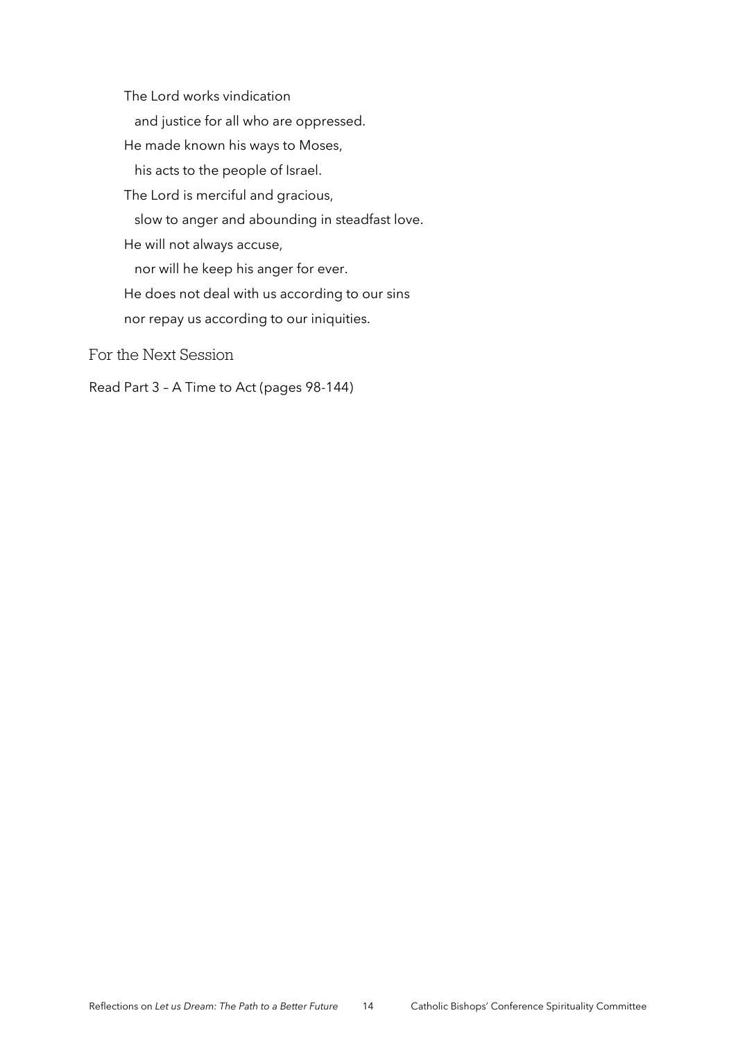The Lord works vindication and justice for all who are oppressed. He made known his ways to Moses, his acts to the people of Israel. The Lord is merciful and gracious, slow to anger and abounding in steadfast love. He will not always accuse, nor will he keep his anger for ever. He does not deal with us according to our sins nor repay us according to our iniquities.

For the Next Session

Read Part 3 – A Time to Act (pages 98-144)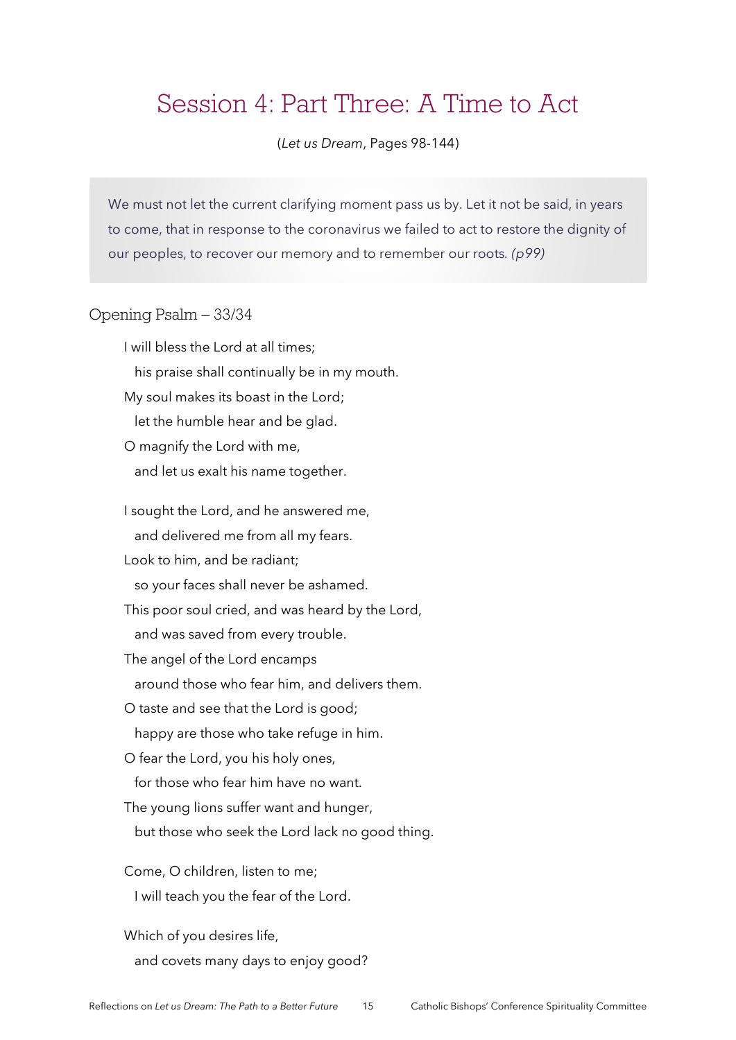# Session 4: Part Three: A Time to Act

(*Let us Dream*, Pages 98-144)

We must not let the current clarifying moment pass us by. Let it not be said, in years to come, that in response to the coronavirus we failed to act to restore the dignity of our peoples, to recover our memory and to remember our roots*. (p99)*

#### Opening Psalm – 33/34

I will bless the Lord at all times; his praise shall continually be in my mouth. My soul makes its boast in the Lord; let the humble hear and be glad. O magnify the Lord with me, and let us exalt his name together. I sought the Lord, and he answered me, and delivered me from all my fears. Look to him, and be radiant; so your faces shall never be ashamed. This poor soul cried, and was heard by the Lord, and was saved from every trouble. The angel of the Lord encamps around those who fear him, and delivers them. O taste and see that the Lord is good; happy are those who take refuge in him. O fear the Lord, you his holy ones, for those who fear him have no want. The young lions suffer want and hunger, but those who seek the Lord lack no good thing. Come, O children, listen to me; I will teach you the fear of the Lord. Which of you desires life,

and covets many days to enjoy good?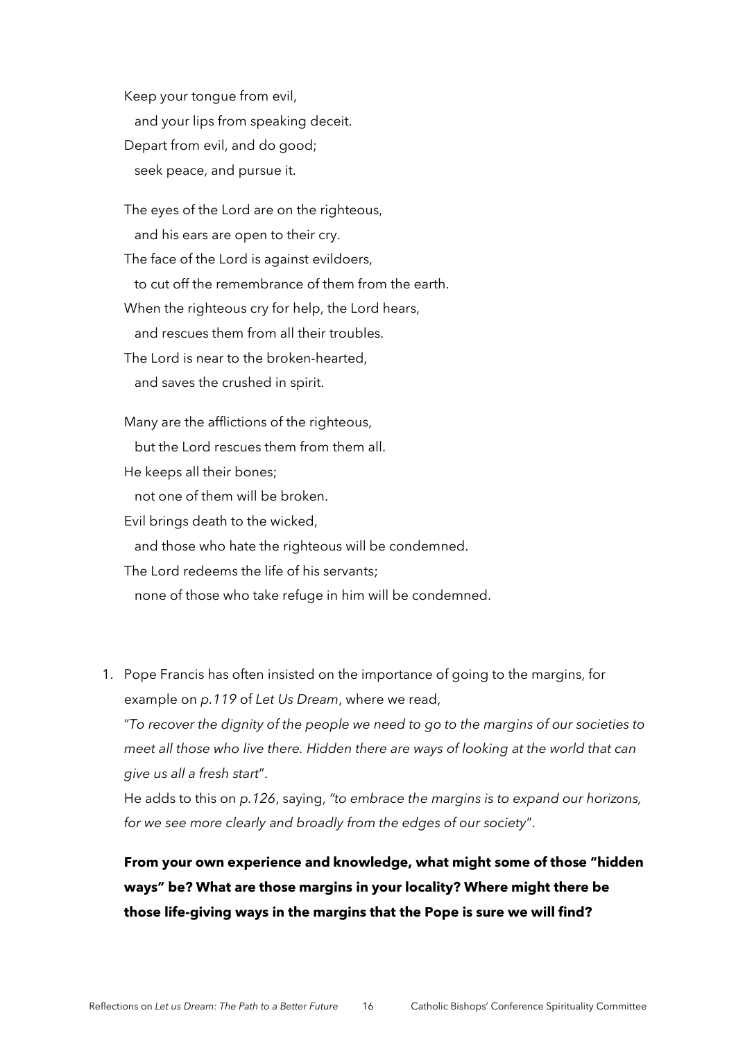Keep your tongue from evil, and your lips from speaking deceit. Depart from evil, and do good; seek peace, and pursue it.

The eyes of the Lord are on the righteous, and his ears are open to their cry. The face of the Lord is against evildoers, to cut off the remembrance of them from the earth. When the righteous cry for help, the Lord hears, and rescues them from all their troubles. The Lord is near to the broken-hearted, and saves the crushed in spirit. Many are the afflictions of the righteous, but the Lord rescues them from them all. He keeps all their bones;

not one of them will be broken.

Evil brings death to the wicked,

and those who hate the righteous will be condemned.

The Lord redeems the life of his servants;

none of those who take refuge in him will be condemned.

1. Pope Francis has often insisted on the importance of going to the margins, for example on *p.119* of *Let Us Dream*, where we read,

"*To recover the dignity of the people we need to go to the margins of our societies to meet all those who live there. Hidden there are ways of looking at the world that can give us all a fresh start*".

He adds to this on *p.126*, saying, *"to embrace the margins is to expand our horizons, for we see more clearly and broadly from the edges of our society*".

## **From your own experience and knowledge, what might some of those "hidden ways" be? What are those margins in your locality? Where might there be those life-giving ways in the margins that the Pope is sure we will find?**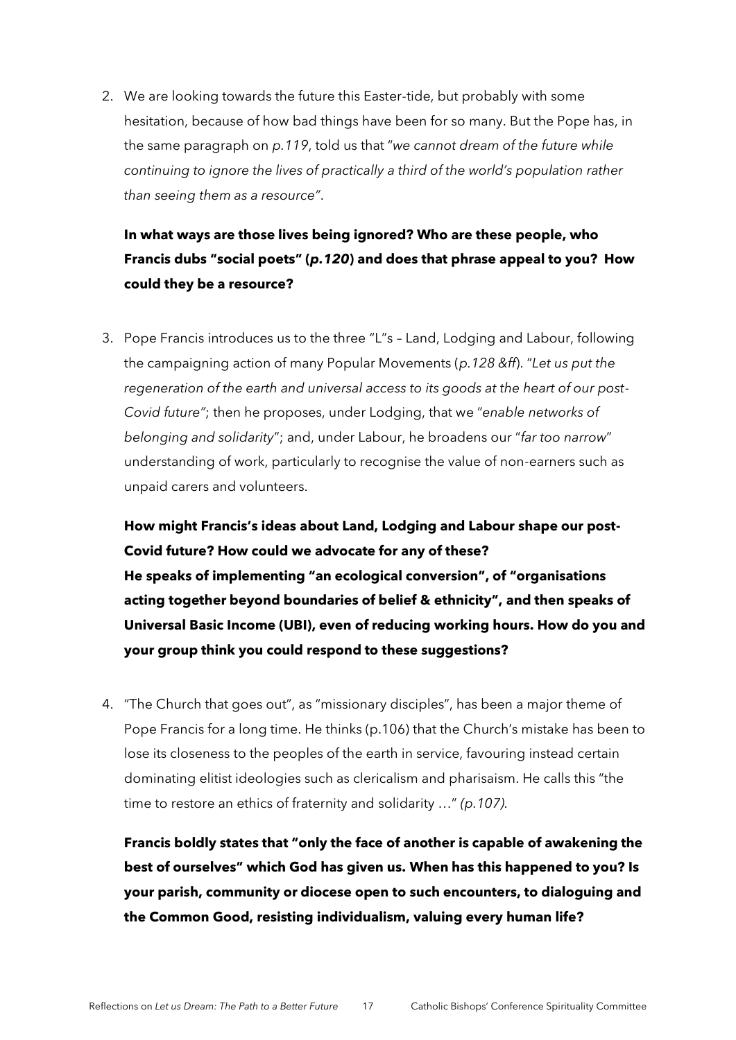2. We are looking towards the future this Easter-tide, but probably with some hesitation, because of how bad things have been for so many. But the Pope has, in the same paragraph on *p.119*, told us that "*we cannot dream of the future while continuing to ignore the lives of practically a third of the world's population rather than seeing them as a resource"*.

## **In what ways are those lives being ignored? Who are these people, who Francis dubs "social poets" (***p.120***) and does that phrase appeal to you? How could they be a resource?**

3. Pope Francis introduces us to the three "L"s – Land, Lodging and Labour, following the campaigning action of many Popular Movements (*p.128 &ff*). "*Let us put the regeneration of the earth and universal access to its goods at the heart of our post-Covid future"*; then he proposes, under Lodging, that we "*enable networks of belonging and solidarity*"; and, under Labour, he broadens our "*far too narrow*" understanding of work, particularly to recognise the value of non-earners such as unpaid carers and volunteers.

**How might Francis's ideas about Land, Lodging and Labour shape our post-Covid future? How could we advocate for any of these? He speaks of implementing "an ecological conversion", of "organisations acting together beyond boundaries of belief & ethnicity", and then speaks of Universal Basic Income (UBI), even of reducing working hours. How do you and your group think you could respond to these suggestions?**

4. "The Church that goes out", as "missionary disciples", has been a major theme of Pope Francis for a long time. He thinks (p.106) that the Church's mistake has been to lose its closeness to the peoples of the earth in service, favouring instead certain dominating elitist ideologies such as clericalism and pharisaism. He calls this "the time to restore an ethics of fraternity and solidarity …" *(p.107).*

**Francis boldly states that "only the face of another is capable of awakening the best of ourselves" which God has given us. When has this happened to you? Is your parish, community or diocese open to such encounters, to dialoguing and the Common Good, resisting individualism, valuing every human life?**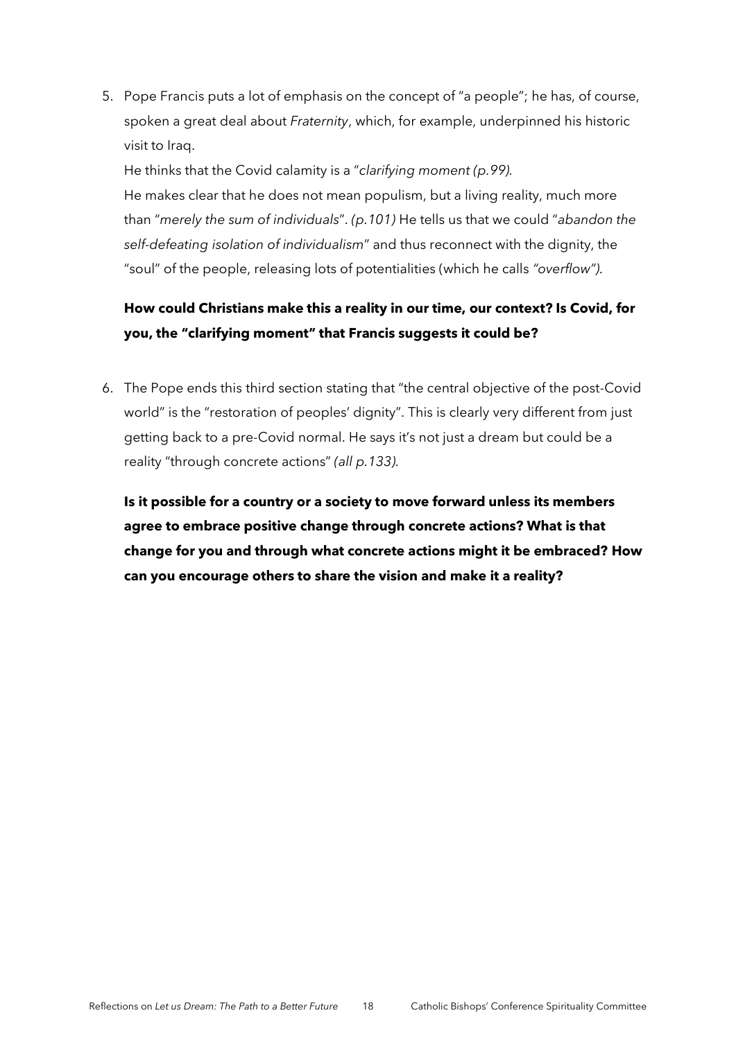5. Pope Francis puts a lot of emphasis on the concept of "a people"; he has, of course, spoken a great deal about *Fraternity*, which, for example, underpinned his historic visit to Iraq.

He thinks that the Covid calamity is a "*clarifying moment (p.99).* He makes clear that he does not mean populism, but a living reality, much more than "*merely the sum of individuals*". *(p.101)* He tells us that we could "*abandon the self-defeating isolation of individualism*" and thus reconnect with the dignity, the "soul" of the people, releasing lots of potentialities (which he calls *"overflow").*

### **How could Christians make this a reality in our time, our context? Is Covid, for you, the "clarifying moment" that Francis suggests it could be?**

6. The Pope ends this third section stating that "the central objective of the post-Covid world" is the "restoration of peoples' dignity". This is clearly very different from just getting back to a pre-Covid normal. He says it's not just a dream but could be a reality "through concrete actions" *(all p.133).*

**Is it possible for a country or a society to move forward unless its members agree to embrace positive change through concrete actions? What is that change for you and through what concrete actions might it be embraced? How can you encourage others to share the vision and make it a reality?**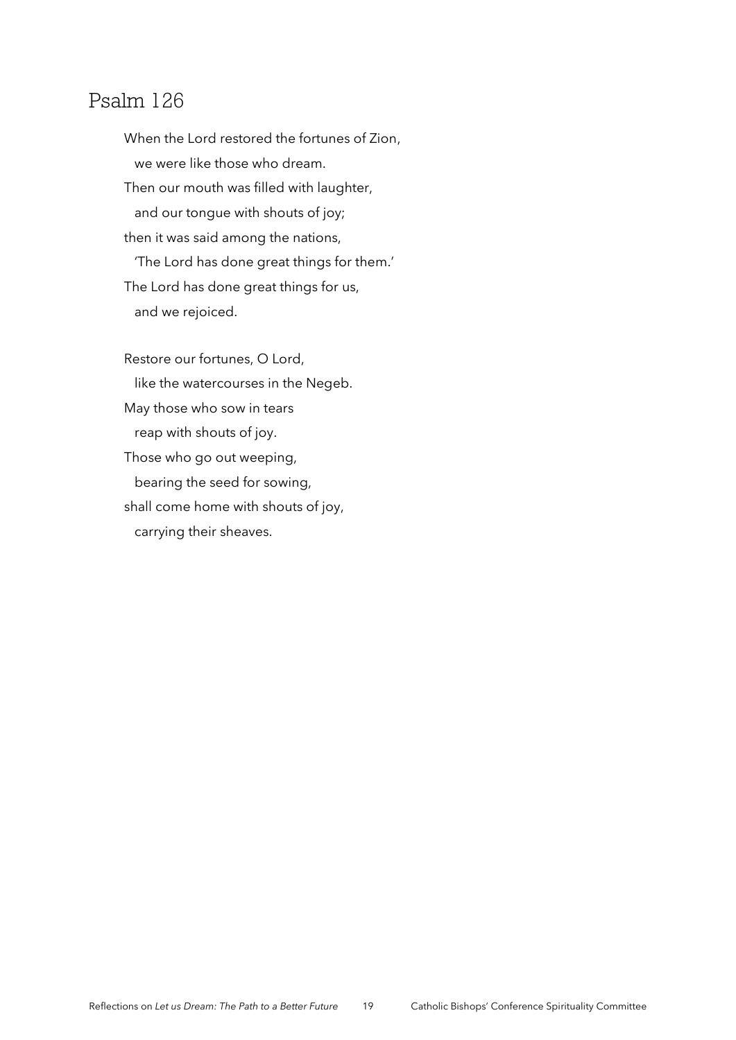### Psalm 126

When the Lord restored the fortunes of Zion, we were like those who dream. Then our mouth was filled with laughter, and our tongue with shouts of joy; then it was said among the nations, 'The Lord has done great things for them.' The Lord has done great things for us, and we rejoiced.

Restore our fortunes, O Lord, like the watercourses in the Negeb. May those who sow in tears reap with shouts of joy. Those who go out weeping, bearing the seed for sowing, shall come home with shouts of joy, carrying their sheaves.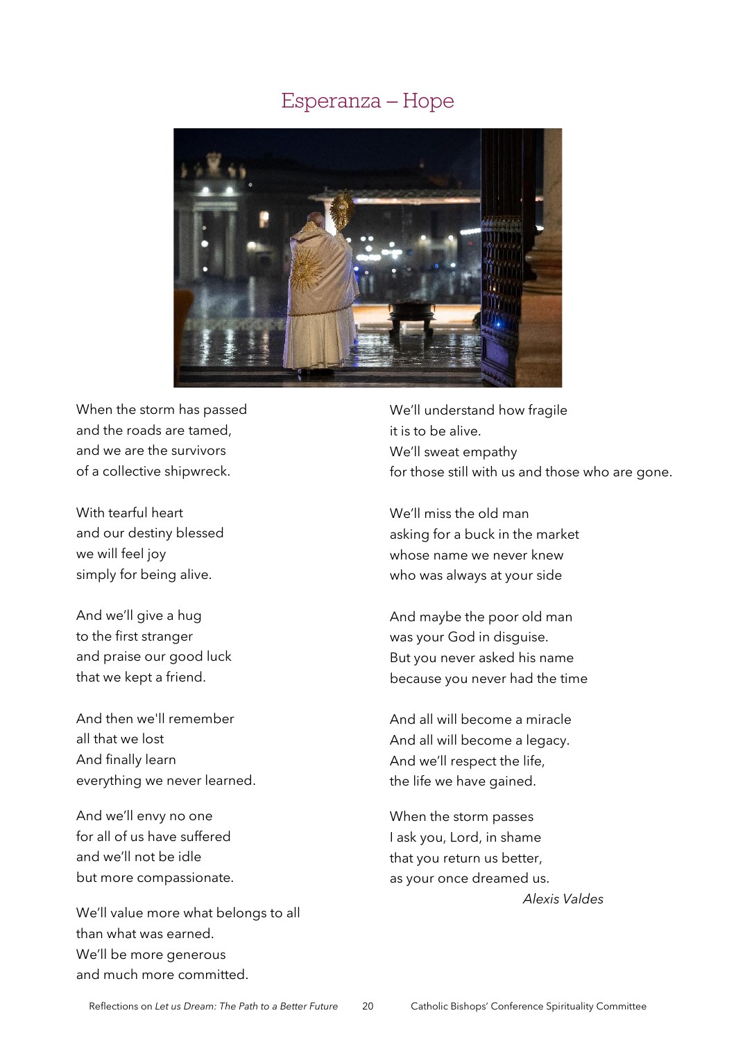## Esperanza – Hope



When the storm has passed and the roads are tamed, and we are the survivors of a collective shipwreck.

With tearful heart and our destiny blessed we will feel joy simply for being alive.

And we'll give a hug to the first stranger and praise our good luck that we kept a friend.

And then we'll remember all that we lost And finally learn everything we never learned.

And we'll envy no one for all of us have suffered and we'll not be idle but more compassionate.

We'll value more what belongs to all than what was earned. We'll be more generous and much more committed.

We'll understand how fragile it is to be alive. We'll sweat empathy for those still with us and those who are gone.

We'll miss the old man asking for a buck in the market whose name we never knew who was always at your side

And maybe the poor old man was your God in disguise. But you never asked his name because you never had the time

And all will become a miracle And all will become a legacy. And we'll respect the life, the life we have gained.

When the storm passes I ask you, Lord, in shame that you return us better, as your once dreamed us.

*Alexis Valdes*